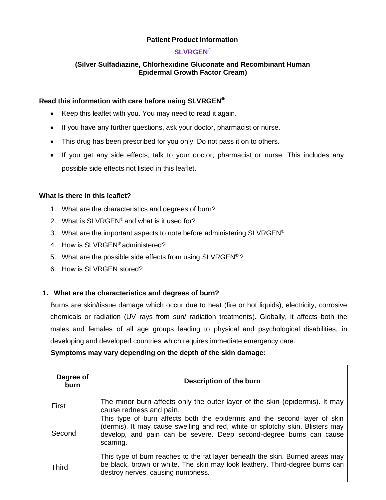## **Patient Product Information**

## **SLVRGEN®**

## **(Silver Sulfadiazine, Chlorhexidine Gluconate and Recombinant Human Epidermal Growth Factor Cream)**

#### **Read this information with care before using SLVRGEN®**

- Keep this leaflet with you. You may need to read it again.
- If you have any further questions, ask your doctor, pharmacist or nurse.
- This drug has been prescribed for you only. Do not pass it on to others.
- If you get any side effects, talk to your doctor, pharmacist or nurse. This includes any possible side effects not listed in this leaflet.

### **What is there in this leaflet?**

- 1. What are the characteristics and degrees of burn?
- 2. What is SLVRGEN® and what is it used for?
- 3. What are the important aspects to note before administering  $SLVRGEN^{\circledcirc}$
- 4. How is SLVRGEN® administered?
- 5. What are the possible side effects from using SLVRGEN® ?
- 6. How is SLVRGEN stored?

 $\overline{\mathbf{r}}$ 

### **1. What are the characteristics and degrees of burn?**

Burns are skin/tissue damage which occur due to heat (fire or hot liquids), electricity, corrosive chemicals or radiation (UV rays from sun/ radiation treatments). Globally, it affects both the males and females of all age groups leading to physical and psychological disabilities, in developing and developed countries which requires immediate emergency care.

### **Symptoms may vary depending on the depth of the skin damage:**

| Degree of<br>burn | Description of the burn                                                                                                                                                                                                                        |  |
|-------------------|------------------------------------------------------------------------------------------------------------------------------------------------------------------------------------------------------------------------------------------------|--|
| First             | The minor burn affects only the outer layer of the skin (epidermis). It may<br>cause redness and pain.                                                                                                                                         |  |
| Second            | This type of burn affects both the epidermis and the second layer of skin<br>(dermis). It may cause swelling and red, white or splotchy skin. Blisters may<br>develop, and pain can be severe. Deep second-degree burns can cause<br>scarring. |  |
| <b>Third</b>      | This type of burn reaches to the fat layer beneath the skin. Burned areas may<br>be black, brown or white. The skin may look leathery. Third-degree burns can<br>destroy nerves, causing numbness.                                             |  |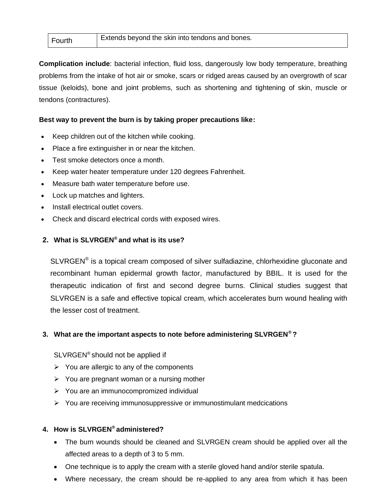| Fourth | Extends beyond the skin into tendons and bones. |
|--------|-------------------------------------------------|
|        |                                                 |

**Complication include**: bacterial infection, fluid loss, dangerously low body temperature, breathing problems from the intake of hot air or smoke, scars or ridged areas caused by an overgrowth of scar tissue (keloids), bone and joint problems, such as shortening and tightening of skin, muscle or tendons (contractures).

## **Best way to prevent the burn is by taking proper precautions like:**

- Keep children out of the kitchen while cooking.
- Place a fire extinguisher in or near the kitchen.
- Test smoke detectors once a month.
- Keep water heater temperature under 120 degrees Fahrenheit.
- Measure bath water temperature before use.
- Lock up matches and lighters.
- Install electrical outlet covers.
- Check and discard electrical cords with exposed wires.

## **2. What is SLVRGEN® and what is its use?**

 $SLVRGEN^*$  is a topical cream composed of silver sulfadiazine, chlorhexidine gluconate and recombinant human epidermal growth factor, manufactured by BBIL. It is used for the therapeutic indication of first and second degree burns. Clinical studies suggest that SLVRGEN is a safe and effective topical cream, which accelerates burn wound healing with the lesser cost of treatment.

### **3. What are the important aspects to note before administering SLVRGEN® ?**

SLVRGEN® should not be applied if

- $\triangleright$  You are allergic to any of the components
- $\triangleright$  You are pregnant woman or a nursing mother
- ➢ You are an immunocompromized individual
- ➢ You are receiving immunosuppressive or immunostimulant medcications

### **4. How is SLVRGEN® administered?**

- The burn wounds should be cleaned and SLVRGEN cream should be applied over all the affected areas to a depth of 3 to 5 mm.
- One technique is to apply the cream with a sterile gloved hand and/or sterile spatula.
- Where necessary, the cream should be re-applied to any area from which it has been